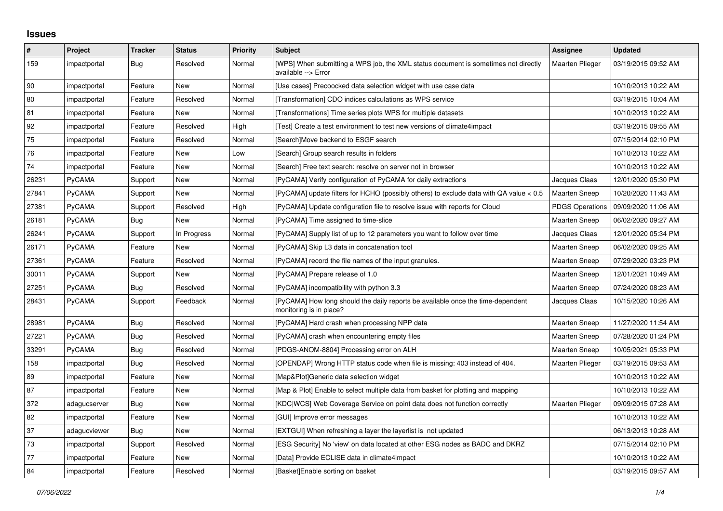## **Issues**

| $\vert$ # | Project      | <b>Tracker</b> | <b>Status</b> | <b>Priority</b> | <b>Subject</b>                                                                                             | Assignee               | <b>Updated</b>      |
|-----------|--------------|----------------|---------------|-----------------|------------------------------------------------------------------------------------------------------------|------------------------|---------------------|
| 159       | impactportal | Bug            | Resolved      | Normal          | [WPS] When submitting a WPS job, the XML status document is sometimes not directly<br>available --> Error  | <b>Maarten Plieger</b> | 03/19/2015 09:52 AM |
| 90        | impactportal | Feature        | <b>New</b>    | Normal          | [Use cases] Precoocked data selection widget with use case data                                            |                        | 10/10/2013 10:22 AM |
| 80        | impactportal | Feature        | Resolved      | Normal          | [Transformation] CDO indices calculations as WPS service                                                   |                        | 03/19/2015 10:04 AM |
| 81        | impactportal | Feature        | New           | Normal          | [Transformations] Time series plots WPS for multiple datasets                                              |                        | 10/10/2013 10:22 AM |
| 92        | impactportal | Feature        | Resolved      | High            | [Test] Create a test environment to test new versions of climate4impact                                    |                        | 03/19/2015 09:55 AM |
| 75        | impactportal | Feature        | Resolved      | Normal          | [Search]Move backend to ESGF search                                                                        |                        | 07/15/2014 02:10 PM |
| 76        | impactportal | Feature        | New           | Low             | [Search] Group search results in folders                                                                   |                        | 10/10/2013 10:22 AM |
| 74        | impactportal | Feature        | <b>New</b>    | Normal          | [Search] Free text search: resolve on server not in browser                                                |                        | 10/10/2013 10:22 AM |
| 26231     | PyCAMA       | Support        | New           | Normal          | [PyCAMA] Verify configuration of PyCAMA for daily extractions                                              | Jacques Claas          | 12/01/2020 05:30 PM |
| 27841     | PyCAMA       | Support        | New           | Normal          | [PyCAMA] update filters for HCHO (possibly others) to exclude data with QA value < 0.5                     | <b>Maarten Sneep</b>   | 10/20/2020 11:43 AM |
| 27381     | PyCAMA       | Support        | Resolved      | High            | [PyCAMA] Update configuration file to resolve issue with reports for Cloud                                 | <b>PDGS Operations</b> | 09/09/2020 11:06 AM |
| 26181     | PyCAMA       | Bug            | <b>New</b>    | Normal          | [PyCAMA] Time assigned to time-slice                                                                       | <b>Maarten Sneep</b>   | 06/02/2020 09:27 AM |
| 26241     | PyCAMA       | Support        | In Progress   | Normal          | [PyCAMA] Supply list of up to 12 parameters you want to follow over time                                   | Jacques Claas          | 12/01/2020 05:34 PM |
| 26171     | PyCAMA       | Feature        | New           | Normal          | [PyCAMA] Skip L3 data in concatenation tool                                                                | <b>Maarten Sneep</b>   | 06/02/2020 09:25 AM |
| 27361     | PyCAMA       | Feature        | Resolved      | Normal          | [PyCAMA] record the file names of the input granules.                                                      | <b>Maarten Sneep</b>   | 07/29/2020 03:23 PM |
| 30011     | PyCAMA       | Support        | New           | Normal          | [PyCAMA] Prepare release of 1.0                                                                            | <b>Maarten Sneep</b>   | 12/01/2021 10:49 AM |
| 27251     | PyCAMA       | Bug            | Resolved      | Normal          | [PyCAMA] incompatibility with python 3.3                                                                   | <b>Maarten Sneep</b>   | 07/24/2020 08:23 AM |
| 28431     | PyCAMA       | Support        | Feedback      | Normal          | [PyCAMA] How long should the daily reports be available once the time-dependent<br>monitoring is in place? | Jacques Claas          | 10/15/2020 10:26 AM |
| 28981     | PyCAMA       | Bug            | Resolved      | Normal          | [PyCAMA] Hard crash when processing NPP data                                                               | Maarten Sneep          | 11/27/2020 11:54 AM |
| 27221     | PyCAMA       | Bug            | Resolved      | Normal          | [PyCAMA] crash when encountering empty files                                                               | <b>Maarten Sneep</b>   | 07/28/2020 01:24 PM |
| 33291     | PyCAMA       | <b>Bug</b>     | Resolved      | Normal          | [PDGS-ANOM-8804] Processing error on ALH                                                                   | Maarten Sneep          | 10/05/2021 05:33 PM |
| 158       | impactportal | <b>Bug</b>     | Resolved      | Normal          | [OPENDAP] Wrong HTTP status code when file is missing: 403 instead of 404.                                 | Maarten Plieger        | 03/19/2015 09:53 AM |
| 89        | impactportal | Feature        | New           | Normal          | [Map&Plot]Generic data selection widget                                                                    |                        | 10/10/2013 10:22 AM |
| 87        | impactportal | Feature        | New           | Normal          | [Map & Plot] Enable to select multiple data from basket for plotting and mapping                           |                        | 10/10/2013 10:22 AM |
| 372       | adagucserver | Bug            | New           | Normal          | [KDC WCS] Web Coverage Service on point data does not function correctly                                   | <b>Maarten Plieger</b> | 09/09/2015 07:28 AM |
| 82        | impactportal | Feature        | New           | Normal          | [GUI] Improve error messages                                                                               |                        | 10/10/2013 10:22 AM |
| 37        | adagucviewer | Bug            | New           | Normal          | [EXTGUI] When refreshing a layer the layerlist is not updated                                              |                        | 06/13/2013 10:28 AM |
| 73        | impactportal | Support        | Resolved      | Normal          | [ESG Security] No 'view' on data located at other ESG nodes as BADC and DKRZ                               |                        | 07/15/2014 02:10 PM |
| 77        | impactportal | Feature        | <b>New</b>    | Normal          | [Data] Provide ECLISE data in climate4impact                                                               |                        | 10/10/2013 10:22 AM |
| 84        | impactportal | Feature        | Resolved      | Normal          | [Basket]Enable sorting on basket                                                                           |                        | 03/19/2015 09:57 AM |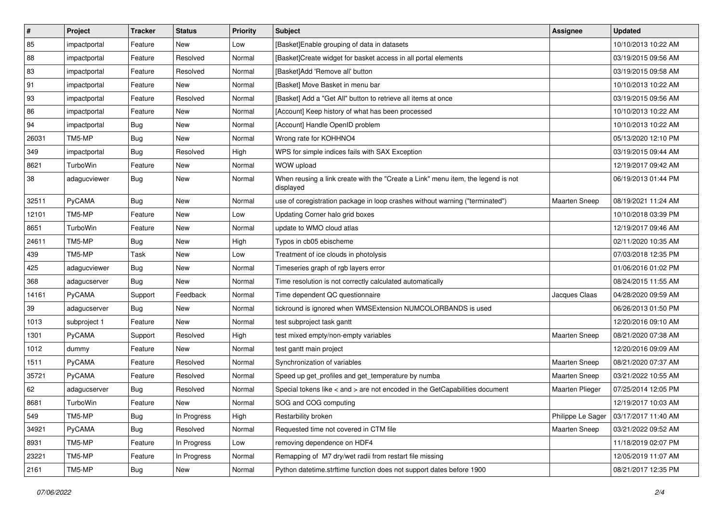| $\pmb{\#}$ | Project      | <b>Tracker</b> | <b>Status</b> | <b>Priority</b> | <b>Subject</b>                                                                                | <b>Assignee</b>      | <b>Updated</b>      |
|------------|--------------|----------------|---------------|-----------------|-----------------------------------------------------------------------------------------------|----------------------|---------------------|
| 85         | impactportal | Feature        | New           | Low             | [Basket]Enable grouping of data in datasets                                                   |                      | 10/10/2013 10:22 AM |
| 88         | impactportal | Feature        | Resolved      | Normal          | [Basket]Create widget for basket access in all portal elements                                |                      | 03/19/2015 09:56 AM |
| 83         | impactportal | Feature        | Resolved      | Normal          | [Basket]Add 'Remove all' button                                                               |                      | 03/19/2015 09:58 AM |
| 91         | impactportal | Feature        | New           | Normal          | [Basket] Move Basket in menu bar                                                              |                      | 10/10/2013 10:22 AM |
| 93         | impactportal | Feature        | Resolved      | Normal          | [Basket] Add a "Get All" button to retrieve all items at once                                 |                      | 03/19/2015 09:56 AM |
| 86         | impactportal | Feature        | New           | Normal          | [Account] Keep history of what has been processed                                             |                      | 10/10/2013 10:22 AM |
| 94         | impactportal | <b>Bug</b>     | <b>New</b>    | Normal          | [Account] Handle OpenID problem                                                               |                      | 10/10/2013 10:22 AM |
| 26031      | TM5-MP       | <b>Bug</b>     | New           | Normal          | Wrong rate for KOHHNO4                                                                        |                      | 05/13/2020 12:10 PM |
| 349        | impactportal | Bug            | Resolved      | High            | WPS for simple indices fails with SAX Exception                                               |                      | 03/19/2015 09:44 AM |
| 8621       | TurboWin     | Feature        | <b>New</b>    | Normal          | WOW upload                                                                                    |                      | 12/19/2017 09:42 AM |
| 38         | adagucviewer | <b>Bug</b>     | New           | Normal          | When reusing a link create with the "Create a Link" menu item, the legend is not<br>displayed |                      | 06/19/2013 01:44 PM |
| 32511      | PyCAMA       | <b>Bug</b>     | <b>New</b>    | Normal          | use of coregistration package in loop crashes without warning ("terminated")                  | <b>Maarten Sneep</b> | 08/19/2021 11:24 AM |
| 12101      | TM5-MP       | Feature        | New           | Low             | Updating Corner halo grid boxes                                                               |                      | 10/10/2018 03:39 PM |
| 8651       | TurboWin     | Feature        | <b>New</b>    | Normal          | update to WMO cloud atlas                                                                     |                      | 12/19/2017 09:46 AM |
| 24611      | TM5-MP       | <b>Bug</b>     | New           | High            | Typos in cb05 ebischeme                                                                       |                      | 02/11/2020 10:35 AM |
| 439        | TM5-MP       | Task           | New           | Low             | Treatment of ice clouds in photolysis                                                         |                      | 07/03/2018 12:35 PM |
| 425        | adagucviewer | <b>Bug</b>     | <b>New</b>    | Normal          | Timeseries graph of rgb layers error                                                          |                      | 01/06/2016 01:02 PM |
| 368        | adagucserver | <b>Bug</b>     | New           | Normal          | Time resolution is not correctly calculated automatically                                     |                      | 08/24/2015 11:55 AM |
| 14161      | PyCAMA       | Support        | Feedback      | Normal          | Time dependent QC questionnaire                                                               | Jacques Claas        | 04/28/2020 09:59 AM |
| 39         | adagucserver | Bug            | New           | Normal          | tickround is ignored when WMSExtension NUMCOLORBANDS is used                                  |                      | 06/26/2013 01:50 PM |
| 1013       | subproject 1 | Feature        | <b>New</b>    | Normal          | test subproject task gantt                                                                    |                      | 12/20/2016 09:10 AM |
| 1301       | PyCAMA       | Support        | Resolved      | High            | test mixed empty/non-empty variables                                                          | <b>Maarten Sneep</b> | 08/21/2020 07:38 AM |
| 1012       | dummy        | Feature        | New           | Normal          | test gantt main project                                                                       |                      | 12/20/2016 09:09 AM |
| 1511       | PyCAMA       | Feature        | Resolved      | Normal          | Synchronization of variables                                                                  | Maarten Sneep        | 08/21/2020 07:37 AM |
| 35721      | PyCAMA       | Feature        | Resolved      | Normal          | Speed up get_profiles and get_temperature by numba                                            | <b>Maarten Sneep</b> | 03/21/2022 10:55 AM |
| 62         | adagucserver | <b>Bug</b>     | Resolved      | Normal          | Special tokens like < and > are not encoded in the GetCapabilities document                   | Maarten Plieger      | 07/25/2014 12:05 PM |
| 8681       | TurboWin     | Feature        | New           | Normal          | SOG and COG computing                                                                         |                      | 12/19/2017 10:03 AM |
| 549        | TM5-MP       | Bug            | In Progress   | High            | Restarbility broken                                                                           | Philippe Le Sager    | 03/17/2017 11:40 AM |
| 34921      | PyCAMA       | <b>Bug</b>     | Resolved      | Normal          | Requested time not covered in CTM file                                                        | Maarten Sneep        | 03/21/2022 09:52 AM |
| 8931       | TM5-MP       | Feature        | In Progress   | Low             | removing dependence on HDF4                                                                   |                      | 11/18/2019 02:07 PM |
| 23221      | TM5-MP       | Feature        | In Progress   | Normal          | Remapping of M7 dry/wet radii from restart file missing                                       |                      | 12/05/2019 11:07 AM |
| 2161       | TM5-MP       | <b>Bug</b>     | New           | Normal          | Python datetime.strftime function does not support dates before 1900                          |                      | 08/21/2017 12:35 PM |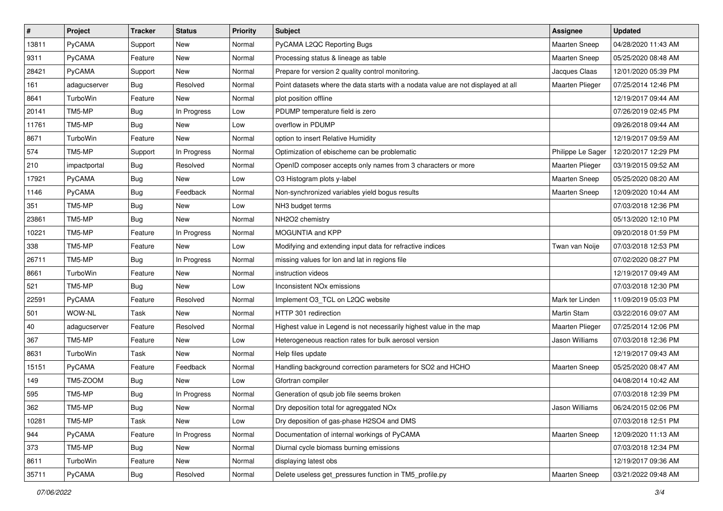| $\sharp$ | Project       | <b>Tracker</b> | <b>Status</b> | <b>Priority</b> | <b>Subject</b>                                                                    | Assignee               | <b>Updated</b>      |
|----------|---------------|----------------|---------------|-----------------|-----------------------------------------------------------------------------------|------------------------|---------------------|
| 13811    | PyCAMA        | Support        | New           | Normal          | PyCAMA L2QC Reporting Bugs                                                        | Maarten Sneep          | 04/28/2020 11:43 AM |
| 9311     | <b>PyCAMA</b> | Feature        | New           | Normal          | Processing status & lineage as table                                              | <b>Maarten Sneep</b>   | 05/25/2020 08:48 AM |
| 28421    | <b>PyCAMA</b> | Support        | New           | Normal          | Prepare for version 2 quality control monitoring.                                 | Jacques Claas          | 12/01/2020 05:39 PM |
| 161      | adagucserver  | Bug            | Resolved      | Normal          | Point datasets where the data starts with a nodata value are not displayed at all | <b>Maarten Plieger</b> | 07/25/2014 12:46 PM |
| 8641     | TurboWin      | Feature        | <b>New</b>    | Normal          | plot position offline                                                             |                        | 12/19/2017 09:44 AM |
| 20141    | TM5-MP        | <b>Bug</b>     | In Progress   | Low             | PDUMP temperature field is zero                                                   |                        | 07/26/2019 02:45 PM |
| 11761    | TM5-MP        | <b>Bug</b>     | New           | Low             | overflow in PDUMP                                                                 |                        | 09/26/2018 09:44 AM |
| 8671     | TurboWin      | Feature        | New           | Normal          | option to insert Relative Humidity                                                |                        | 12/19/2017 09:59 AM |
| 574      | TM5-MP        | Support        | In Progress   | Normal          | Optimization of ebischeme can be problematic                                      | Philippe Le Sager      | 12/20/2017 12:29 PM |
| 210      | impactportal  | <b>Bug</b>     | Resolved      | Normal          | OpenID composer accepts only names from 3 characters or more                      | Maarten Plieger        | 03/19/2015 09:52 AM |
| 17921    | <b>PyCAMA</b> | <b>Bug</b>     | New           | Low             | O3 Histogram plots y-label                                                        | Maarten Sneep          | 05/25/2020 08:20 AM |
| 1146     | PyCAMA        | <b>Bug</b>     | Feedback      | Normal          | Non-synchronized variables yield bogus results                                    | <b>Maarten Sneep</b>   | 12/09/2020 10:44 AM |
| 351      | TM5-MP        | <b>Bug</b>     | New           | Low             | NH3 budget terms                                                                  |                        | 07/03/2018 12:36 PM |
| 23861    | TM5-MP        | <b>Bug</b>     | New           | Normal          | NH2O2 chemistry                                                                   |                        | 05/13/2020 12:10 PM |
| 10221    | TM5-MP        | Feature        | In Progress   | Normal          | MOGUNTIA and KPP                                                                  |                        | 09/20/2018 01:59 PM |
| 338      | TM5-MP        | Feature        | <b>New</b>    | Low             | Modifying and extending input data for refractive indices                         | Twan van Noije         | 07/03/2018 12:53 PM |
| 26711    | TM5-MP        | <b>Bug</b>     | In Progress   | Normal          | missing values for lon and lat in regions file                                    |                        | 07/02/2020 08:27 PM |
| 8661     | TurboWin      | Feature        | New           | Normal          | instruction videos                                                                |                        | 12/19/2017 09:49 AM |
| 521      | TM5-MP        | <b>Bug</b>     | New           | Low             | Inconsistent NO <sub>x</sub> emissions                                            |                        | 07/03/2018 12:30 PM |
| 22591    | <b>PyCAMA</b> | Feature        | Resolved      | Normal          | Implement O3_TCL on L2QC website                                                  | Mark ter Linden        | 11/09/2019 05:03 PM |
| 501      | WOW-NL        | Task           | New           | Normal          | HTTP 301 redirection                                                              | Martin Stam            | 03/22/2016 09:07 AM |
| 40       | adagucserver  | Feature        | Resolved      | Normal          | Highest value in Legend is not necessarily highest value in the map               | Maarten Plieger        | 07/25/2014 12:06 PM |
| 367      | TM5-MP        | Feature        | New           | Low             | Heterogeneous reaction rates for bulk aerosol version                             | Jason Williams         | 07/03/2018 12:36 PM |
| 8631     | TurboWin      | Task           | New           | Normal          | Help files update                                                                 |                        | 12/19/2017 09:43 AM |
| 15151    | <b>PyCAMA</b> | Feature        | Feedback      | Normal          | Handling background correction parameters for SO2 and HCHO                        | <b>Maarten Sneep</b>   | 05/25/2020 08:47 AM |
| 149      | TM5-ZOOM      | Bug            | New           | Low             | Gfortran compiler                                                                 |                        | 04/08/2014 10:42 AM |
| 595      | TM5-MP        | <b>Bug</b>     | In Progress   | Normal          | Generation of qsub job file seems broken                                          |                        | 07/03/2018 12:39 PM |
| 362      | TM5-MP        | Bug            | New           | Normal          | Dry deposition total for agreggated NOx                                           | Jason Williams         | 06/24/2015 02:06 PM |
| 10281    | TM5-MP        | Task           | New           | Low             | Dry deposition of gas-phase H2SO4 and DMS                                         |                        | 07/03/2018 12:51 PM |
| 944      | PyCAMA        | Feature        | In Progress   | Normal          | Documentation of internal workings of PyCAMA                                      | <b>Maarten Sneep</b>   | 12/09/2020 11:13 AM |
| 373      | TM5-MP        | <b>Bug</b>     | New           | Normal          | Diurnal cycle biomass burning emissions                                           |                        | 07/03/2018 12:34 PM |
| 8611     | TurboWin      | Feature        | New           | Normal          | displaying latest obs                                                             |                        | 12/19/2017 09:36 AM |
| 35711    | PyCAMA        | <b>Bug</b>     | Resolved      | Normal          | Delete useless get_pressures function in TM5_profile.py                           | <b>Maarten Sneep</b>   | 03/21/2022 09:48 AM |